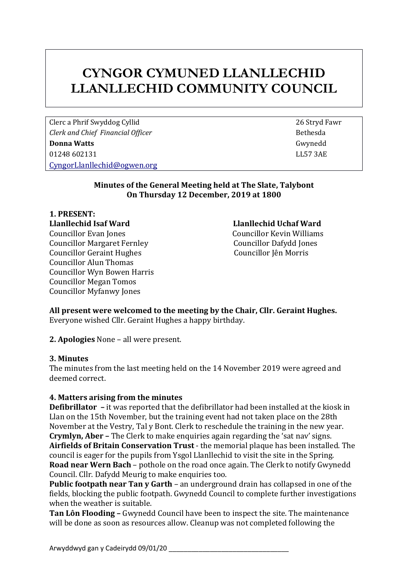# **CYNGOR CYMUNED LLANLLECHID LLANLLECHID COMMUNITY COUNCIL**

Clerc a Phrif Swyddog Cyllid 26 Stryd Fawr *Clerk and Chief Financial Officer* Bethesda **Bethesda Donna Watts** Gwynedd 01248 602131 LL57 3AE [CyngorLlanllechid@ogwen.org](mailto:CyngorLlanllechid@ogwen.org)

#### **Minutes of the General Meeting held at The Slate, Talybont On Thursday 12 December, 2019 at 1800**

**1. PRESENT: Llanllechid Isaf Ward Llanllechid Uchaf Ward** Councillor Evan Jones Councillor Kevin Williams Councillor Margaret Fernley Councillor Dafydd Jones Councillor Geraint Hughes Councillor Jên Morris Councillor Alun Thomas Councillor Wyn Bowen Harris Councillor Megan Tomos Councillor Myfanwy Jones

**All present were welcomed to the meeting by the Chair, Cllr. Geraint Hughes.** Everyone wished Cllr. Geraint Hughes a happy birthday.

**2. Apologies** None – all were present.

#### **3. Minutes**

The minutes from the last meeting held on the 14 November 2019 were agreed and deemed correct.

#### **4. Matters arising from the minutes**

**Defibrillator –** it was reported that the defibrillator had been installed at the kiosk in Llan on the 15th November, but the training event had not taken place on the 28th November at the Vestry, Tal y Bont. Clerk to reschedule the training in the new year. **Crymlyn, Aber –** The Clerk to make enquiries again regarding the 'sat nav' signs. **Airfields of Britain Conservation Trust** - the memorial plaque has been installed. The council is eager for the pupils from Ysgol Llanllechid to visit the site in the Spring. **Road near Wern Bach** – pothole on the road once again. The Clerk to notify Gwynedd Council. Cllr. Dafydd Meurig to make enquiries too.

**Public footpath near Tan y Garth** – an underground drain has collapsed in one of the fields, blocking the public footpath. Gwynedd Council to complete further investigations when the weather is suitable.

**Tan Lôn Flooding –** Gwynedd Council have been to inspect the site. The maintenance will be done as soon as resources allow. Cleanup was not completed following the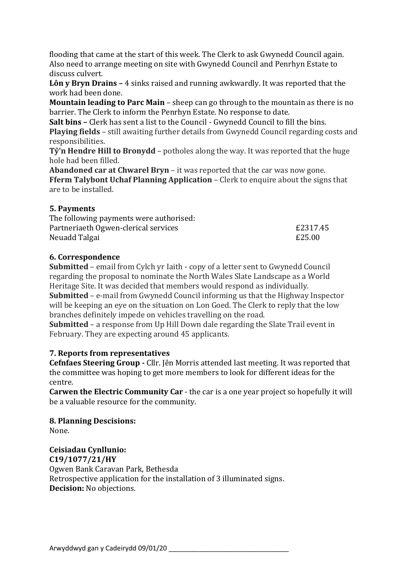flooding that came at the start of this week. The Clerk to ask Gwynedd Council again. Also need to arrange meeting on site with Gwynedd Council and Penrhyn Estate to discuss culvert.

**Lôn y Bryn Drains –** 4 sinks raised and running awkwardly. It was reported that the work had been done.

**Mountain leading to Parc Main** – sheep can go through to the mountain as there is no barrier. The Clerk to inform the Penrhyn Estate. No response to date.

**Salt bins –** Clerk has sent a list to the Council - Gwynedd Council to fill the bins. **Playing fields** – still awaiting further details from Gwynedd Council regarding costs and responsibilities.

**Tŷ'n Hendre Hill to Bronydd** – potholes along the way. It was reported that the huge hole had been filled.

**Abandoned car at Chwarel Bryn** – it was reported that the car was now gone. **Fferm Talybont Uchaf Planning Application** – Clerk to enquire about the signs that are to be installed.

## **5. Payments**

| The following payments were authorised: |          |
|-----------------------------------------|----------|
| Partneriaeth Ogwen-clerical services    | £2317.45 |
| Neuadd Talgai                           | £25.00   |

#### **6. Correspondence**

**Submitted** – email from Cylch yr Iaith - copy of a letter sent to Gwynedd Council regarding the proposal to nominate the North Wales Slate Landscape as a World Heritage Site. It was decided that members would respond as individually. **Submitted** – e-mail from Gwynedd Council informing us that the Highway Inspector will be keeping an eye on the situation on Lon Goed. The Clerk to reply that the low branches definitely impede on vehicles travelling on the road.

**Submitted** – a response from Up Hill Down dale regarding the Slate Trail event in February. They are expecting around 45 applicants.

## **7. Reports from representatives**

**Cefnfaes Steering Group -** Cllr. Jên Morris attended last meeting. It was reported that the committee was hoping to get more members to look for different ideas for the centre.

**Carwen the Electric Community Car** - the car is a one year project so hopefully it will be a valuable resource for the community.

**8. Planning Descisions:** None.

## **Ceisiadau Cynllunio:**

**C19/1077/21/HY** Ogwen Bank Caravan Park, Bethesda Retrospective application for the installation of 3 illuminated signs. **Decision:** No objections.